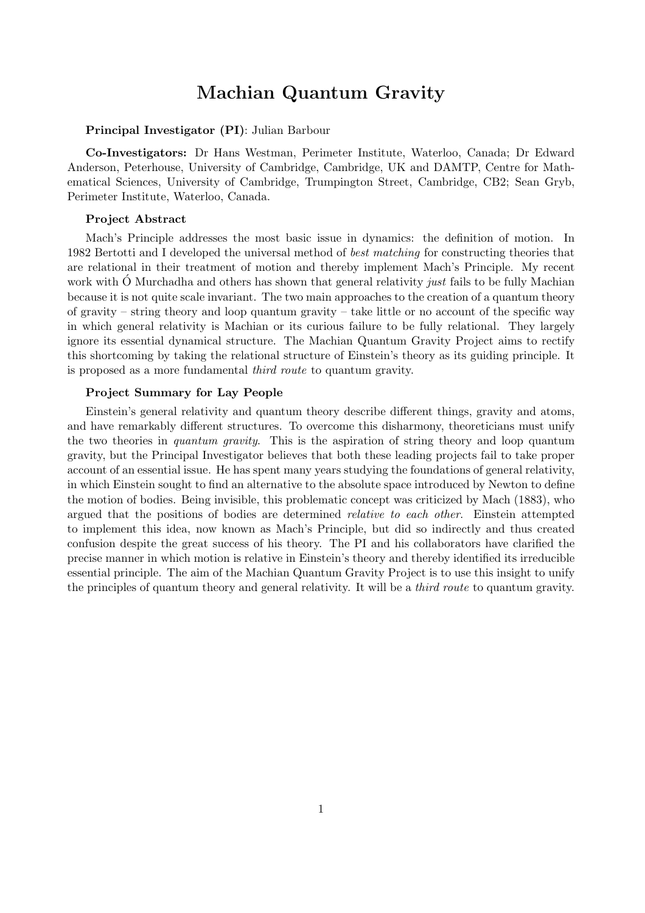# Machian Quantum Gravity

## Principal Investigator (PI): Julian Barbour

Co-Investigators: Dr Hans Westman, Perimeter Institute, Waterloo, Canada; Dr Edward Anderson, Peterhouse, University of Cambridge, Cambridge, UK and DAMTP, Centre for Mathematical Sciences, University of Cambridge, Trumpington Street, Cambridge, CB2; Sean Gryb, Perimeter Institute, Waterloo, Canada.

#### Project Abstract

Mach's Principle addresses the most basic issue in dynamics: the definition of motion. In 1982 Bertotti and I developed the universal method of *best matching* for constructing theories that are relational in their treatment of motion and thereby implement Mach's Principle. My recent work with O Murchadha and others has shown that general relativity *just* fails to be fully Machian because it is not quite scale invariant. The two main approaches to the creation of a quantum theory of gravity – string theory and loop quantum gravity – take little or no account of the specific way in which general relativity is Machian or its curious failure to be fully relational. They largely ignore its essential dynamical structure. The Machian Quantum Gravity Project aims to rectify this shortcoming by taking the relational structure of Einstein's theory as its guiding principle. It is proposed as a more fundamental third route to quantum gravity.

#### Project Summary for Lay People

Einstein's general relativity and quantum theory describe different things, gravity and atoms, and have remarkably different structures. To overcome this disharmony, theoreticians must unify the two theories in *quantum gravity*. This is the aspiration of string theory and loop quantum gravity, but the Principal Investigator believes that both these leading projects fail to take proper account of an essential issue. He has spent many years studying the foundations of general relativity, in which Einstein sought to find an alternative to the absolute space introduced by Newton to define the motion of bodies. Being invisible, this problematic concept was criticized by Mach (1883), who argued that the positions of bodies are determined relative to each other. Einstein attempted to implement this idea, now known as Mach's Principle, but did so indirectly and thus created confusion despite the great success of his theory. The PI and his collaborators have clarified the precise manner in which motion is relative in Einstein's theory and thereby identified its irreducible essential principle. The aim of the Machian Quantum Gravity Project is to use this insight to unify the principles of quantum theory and general relativity. It will be a third route to quantum gravity.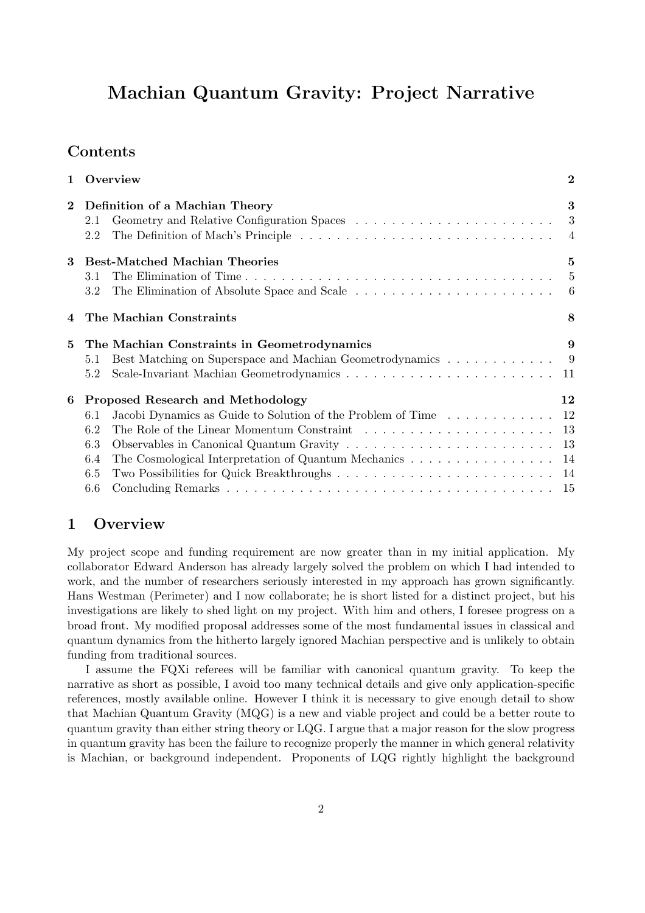# Machian Quantum Gravity: Project Narrative

# Contents

| $\mathbf{1}$ |                                   | Overview                                                                                                     | $\overline{2}$ |
|--------------|-----------------------------------|--------------------------------------------------------------------------------------------------------------|----------------|
| $\mathbf{2}$ | Definition of a Machian Theory    |                                                                                                              | 3              |
|              | 2.1                               |                                                                                                              |                |
|              | 2.2                               | The Definition of Mach's Principle $\dots \dots \dots \dots \dots \dots \dots \dots \dots \dots \dots \dots$ |                |
| 3            |                                   | <b>Best-Matched Machian Theories</b>                                                                         | 5              |
|              | 3.1                               |                                                                                                              | $\overline{5}$ |
|              | 3.2                               |                                                                                                              |                |
|              |                                   | The Machian Constraints                                                                                      | 8              |
| 5            |                                   | The Machian Constraints in Geometrodynamics                                                                  | 9              |
|              | 5.1                               | Best Matching on Superspace and Machian Geometrodynamics 9                                                   |                |
|              | 5.2                               |                                                                                                              |                |
| 6            | Proposed Research and Methodology |                                                                                                              | 12             |
|              | 6.1                               | Jacobi Dynamics as Guide to Solution of the Problem of Time 12                                               |                |
|              | 6.2                               |                                                                                                              |                |
|              | 6.3                               |                                                                                                              |                |
|              | 6.4                               | The Cosmological Interpretation of Quantum Mechanics 14                                                      |                |
|              | 6.5                               |                                                                                                              |                |
|              | 6.6                               |                                                                                                              |                |

# 1 Overview

My project scope and funding requirement are now greater than in my initial application. My collaborator Edward Anderson has already largely solved the problem on which I had intended to work, and the number of researchers seriously interested in my approach has grown significantly. Hans Westman (Perimeter) and I now collaborate; he is short listed for a distinct project, but his investigations are likely to shed light on my project. With him and others, I foresee progress on a broad front. My modified proposal addresses some of the most fundamental issues in classical and quantum dynamics from the hitherto largely ignored Machian perspective and is unlikely to obtain funding from traditional sources.

I assume the FQXi referees will be familiar with canonical quantum gravity. To keep the narrative as short as possible, I avoid too many technical details and give only application-specific references, mostly available online. However I think it is necessary to give enough detail to show that Machian Quantum Gravity (MQG) is a new and viable project and could be a better route to quantum gravity than either string theory or LQG. I argue that a major reason for the slow progress in quantum gravity has been the failure to recognize properly the manner in which general relativity is Machian, or background independent. Proponents of LQG rightly highlight the background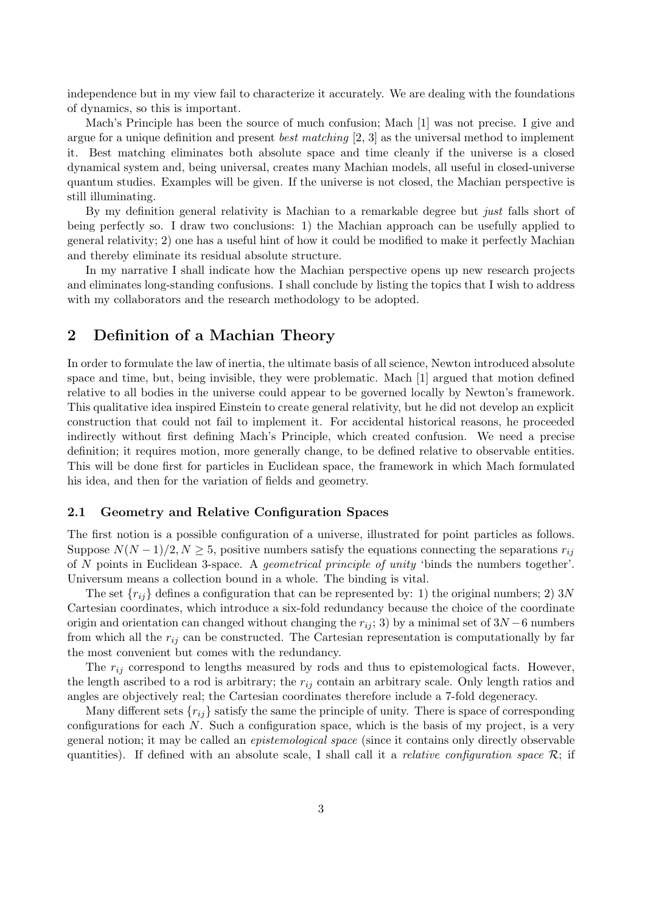independence but in my view fail to characterize it accurately. We are dealing with the foundations of dynamics, so this is important.

Mach's Principle has been the source of much confusion; Mach [1] was not precise. I give and argue for a unique definition and present *best matching* [2, 3] as the universal method to implement it. Best matching eliminates both absolute space and time cleanly if the universe is a closed dynamical system and, being universal, creates many Machian models, all useful in closed-universe quantum studies. Examples will be given. If the universe is not closed, the Machian perspective is still illuminating.

By my definition general relativity is Machian to a remarkable degree but just falls short of being perfectly so. I draw two conclusions: 1) the Machian approach can be usefully applied to general relativity; 2) one has a useful hint of how it could be modified to make it perfectly Machian and thereby eliminate its residual absolute structure.

In my narrative I shall indicate how the Machian perspective opens up new research projects and eliminates long-standing confusions. I shall conclude by listing the topics that I wish to address with my collaborators and the research methodology to be adopted.

## 2 Definition of a Machian Theory

In order to formulate the law of inertia, the ultimate basis of all science, Newton introduced absolute space and time, but, being invisible, they were problematic. Mach [1] argued that motion defined relative to all bodies in the universe could appear to be governed locally by Newton's framework. This qualitative idea inspired Einstein to create general relativity, but he did not develop an explicit construction that could not fail to implement it. For accidental historical reasons, he proceeded indirectly without first defining Mach's Principle, which created confusion. We need a precise definition; it requires motion, more generally change, to be defined relative to observable entities. This will be done first for particles in Euclidean space, the framework in which Mach formulated his idea, and then for the variation of fields and geometry.

### 2.1 Geometry and Relative Configuration Spaces

The first notion is a possible configuration of a universe, illustrated for point particles as follows. Suppose  $N(N-1)/2, N \geq 5$ , positive numbers satisfy the equations connecting the separations  $r_{ij}$ of N points in Euclidean 3-space. A geometrical principle of unity 'binds the numbers together'. Universum means a collection bound in a whole. The binding is vital.

The set  $\{r_{ij}\}$  defines a configuration that can be represented by: 1) the original numbers; 2) 3N Cartesian coordinates, which introduce a six-fold redundancy because the choice of the coordinate origin and orientation can changed without changing the  $r_{ii}$ ; 3) by a minimal set of  $3N - 6$  numbers from which all the  $r_{ij}$  can be constructed. The Cartesian representation is computationally by far the most convenient but comes with the redundancy.

The  $r_{ij}$  correspond to lengths measured by rods and thus to epistemological facts. However, the length ascribed to a rod is arbitrary; the  $r_{ij}$  contain an arbitrary scale. Only length ratios and angles are objectively real; the Cartesian coordinates therefore include a 7-fold degeneracy.

Many different sets  $\{r_{ij}\}$  satisfy the same the principle of unity. There is space of corresponding configurations for each  $N$ . Such a configuration space, which is the basis of my project, is a very general notion; it may be called an epistemological space (since it contains only directly observable quantities). If defined with an absolute scale, I shall call it a *relative configuration space*  $\mathcal{R}$ ; if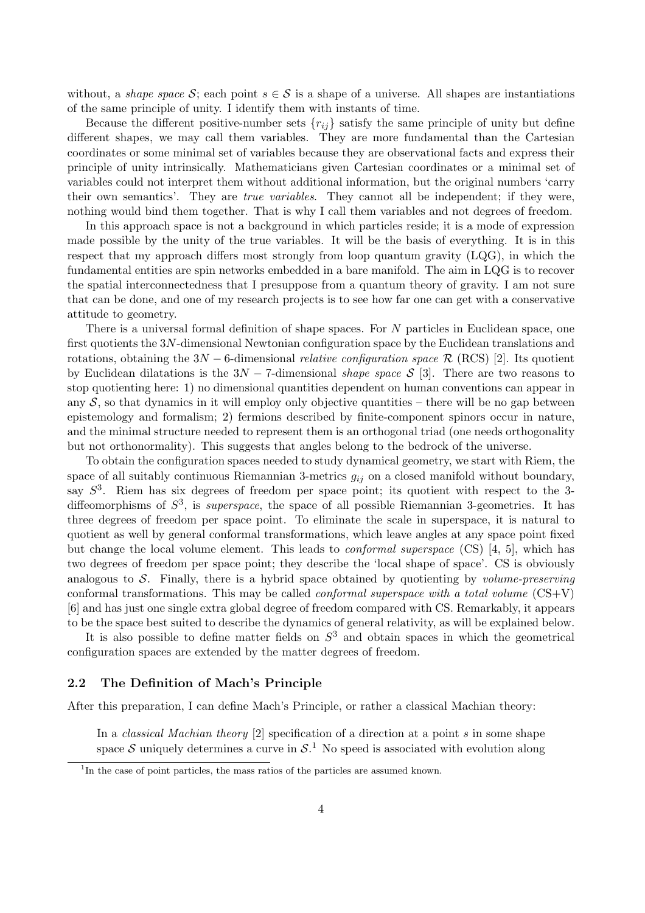without, a *shape space* S; each point  $s \in S$  is a shape of a universe. All shapes are instantiations of the same principle of unity. I identify them with instants of time.

Because the different positive-number sets  $\{r_{ij}\}$  satisfy the same principle of unity but define different shapes, we may call them variables. They are more fundamental than the Cartesian coordinates or some minimal set of variables because they are observational facts and express their principle of unity intrinsically. Mathematicians given Cartesian coordinates or a minimal set of variables could not interpret them without additional information, but the original numbers 'carry their own semantics'. They are true variables. They cannot all be independent; if they were, nothing would bind them together. That is why I call them variables and not degrees of freedom.

In this approach space is not a background in which particles reside; it is a mode of expression made possible by the unity of the true variables. It will be the basis of everything. It is in this respect that my approach differs most strongly from loop quantum gravity (LQG), in which the fundamental entities are spin networks embedded in a bare manifold. The aim in LQG is to recover the spatial interconnectedness that I presuppose from a quantum theory of gravity. I am not sure that can be done, and one of my research projects is to see how far one can get with a conservative attitude to geometry.

There is a universal formal definition of shape spaces. For N particles in Euclidean space, one first quotients the 3N-dimensional Newtonian configuration space by the Euclidean translations and rotations, obtaining the  $3N - 6$ -dimensional *relative configuration space* R (RCS) [2]. Its quotient by Euclidean dilatations is the  $3N - 7$ -dimensional *shape space* S [3]. There are two reasons to stop quotienting here: 1) no dimensional quantities dependent on human conventions can appear in any  $S$ , so that dynamics in it will employ only objective quantities – there will be no gap between epistemology and formalism; 2) fermions described by finite-component spinors occur in nature, and the minimal structure needed to represent them is an orthogonal triad (one needs orthogonality but not orthonormality). This suggests that angles belong to the bedrock of the universe.

To obtain the configuration spaces needed to study dynamical geometry, we start with Riem, the space of all suitably continuous Riemannian 3-metrics  $g_{ij}$  on a closed manifold without boundary, say  $S^3$ . Riem has six degrees of freedom per space point; its quotient with respect to the 3diffeomorphisms of  $S^3$ , is *superspace*, the space of all possible Riemannian 3-geometries. It has three degrees of freedom per space point. To eliminate the scale in superspace, it is natural to quotient as well by general conformal transformations, which leave angles at any space point fixed but change the local volume element. This leads to conformal superspace (CS) [4, 5], which has two degrees of freedom per space point; they describe the 'local shape of space'. CS is obviously analogous to  $\mathcal{S}$ . Finally, there is a hybrid space obtained by quotienting by *volume-preserving* conformal transformations. This may be called *conformal superspace with a total volume*  $(CS+V)$ [6] and has just one single extra global degree of freedom compared with CS. Remarkably, it appears to be the space best suited to describe the dynamics of general relativity, as will be explained below.

It is also possible to define matter fields on  $S<sup>3</sup>$  and obtain spaces in which the geometrical configuration spaces are extended by the matter degrees of freedom.

## 2.2 The Definition of Mach's Principle

After this preparation, I can define Mach's Principle, or rather a classical Machian theory:

In a *classical Machian theory* [2] specification of a direction at a point  $s$  in some shape space S uniquely determines a curve in  $S<sup>1</sup>$ . No speed is associated with evolution along

<sup>&</sup>lt;sup>1</sup>In the case of point particles, the mass ratios of the particles are assumed known.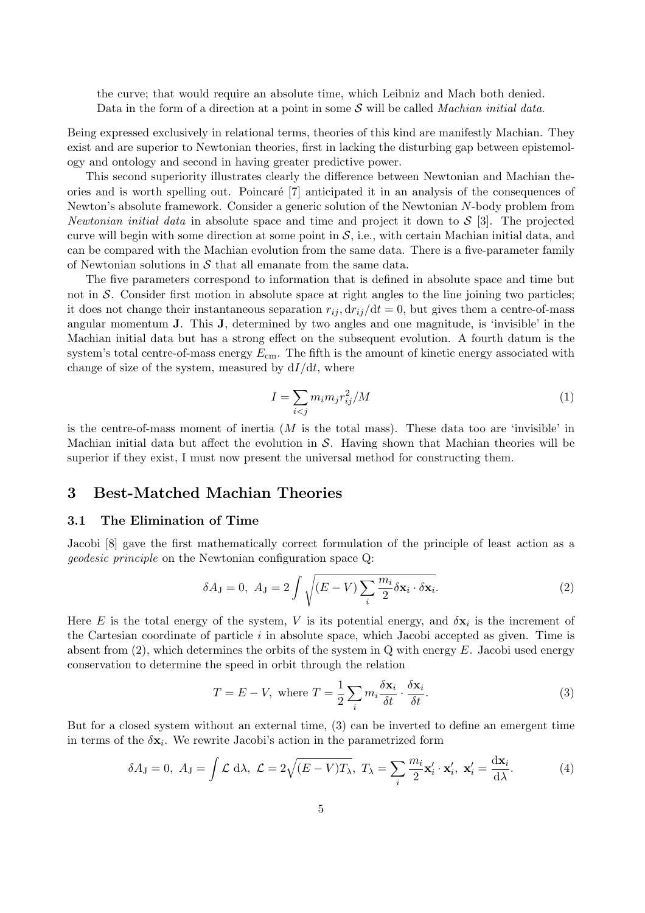the curve; that would require an absolute time, which Leibniz and Mach both denied. Data in the form of a direction at a point in some  $S$  will be called *Machian initial data*.

Being expressed exclusively in relational terms, theories of this kind are manifestly Machian. They exist and are superior to Newtonian theories, first in lacking the disturbing gap between epistemology and ontology and second in having greater predictive power.

This second superiority illustrates clearly the difference between Newtonian and Machian theories and is worth spelling out. Poincar´e [7] anticipated it in an analysis of the consequences of Newton's absolute framework. Consider a generic solution of the Newtonian N-body problem from Newtonian initial data in absolute space and time and project it down to  $S$  [3]. The projected curve will begin with some direction at some point in  $S$ , i.e., with certain Machian initial data, and can be compared with the Machian evolution from the same data. There is a five-parameter family of Newtonian solutions in  $S$  that all emanate from the same data.

The five parameters correspond to information that is defined in absolute space and time but not in S. Consider first motion in absolute space at right angles to the line joining two particles; it does not change their instantaneous separation  $r_{ij}$ ,  $dr_{ij}/dt = 0$ , but gives them a centre-of-mass angular momentum J. This J, determined by two angles and one magnitude, is 'invisible' in the Machian initial data but has a strong effect on the subsequent evolution. A fourth datum is the system's total centre-of-mass energy  $E_{\text{cm}}$ . The fifth is the amount of kinetic energy associated with change of size of the system, measured by  $dI/dt$ , where

$$
I = \sum_{i < j} m_i m_j r_{ij}^2 / M \tag{1}
$$

is the centre-of-mass moment of inertia  $(M \text{ is the total mass})$ . These data too are 'invisible' in Machian initial data but affect the evolution in  $S$ . Having shown that Machian theories will be superior if they exist, I must now present the universal method for constructing them.

## 3 Best-Matched Machian Theories

## 3.1 The Elimination of Time

Jacobi [8] gave the first mathematically correct formulation of the principle of least action as a geodesic principle on the Newtonian configuration space Q:

$$
\delta A_{\mathbf{J}} = 0, \ A_{\mathbf{J}} = 2 \int \sqrt{(E - V) \sum_{i} \frac{m_i}{2} \delta \mathbf{x}_i \cdot \delta \mathbf{x}_i}.
$$
 (2)

Here E is the total energy of the system, V is its potential energy, and  $\delta \mathbf{x}_i$  is the increment of the Cartesian coordinate of particle  $i$  in absolute space, which Jacobi accepted as given. Time is absent from  $(2)$ , which determines the orbits of the system in Q with energy E. Jacobi used energy conservation to determine the speed in orbit through the relation

$$
T = E - V, \text{ where } T = \frac{1}{2} \sum_{i} m_{i} \frac{\delta \mathbf{x}_{i}}{\delta t} \cdot \frac{\delta \mathbf{x}_{i}}{\delta t}.
$$
 (3)

But for a closed system without an external time, (3) can be inverted to define an emergent time in terms of the  $\delta x_i$ . We rewrite Jacobi's action in the parametrized form

$$
\delta A_J = 0, \ A_J = \int \mathcal{L} \ d\lambda, \ \mathcal{L} = 2\sqrt{(E - V)T_{\lambda}}, \ T_{\lambda} = \sum_i \frac{m_i}{2} \mathbf{x}'_i \cdot \mathbf{x}'_i, \ \mathbf{x}'_i = \frac{d\mathbf{x}_i}{d\lambda}.
$$
 (4)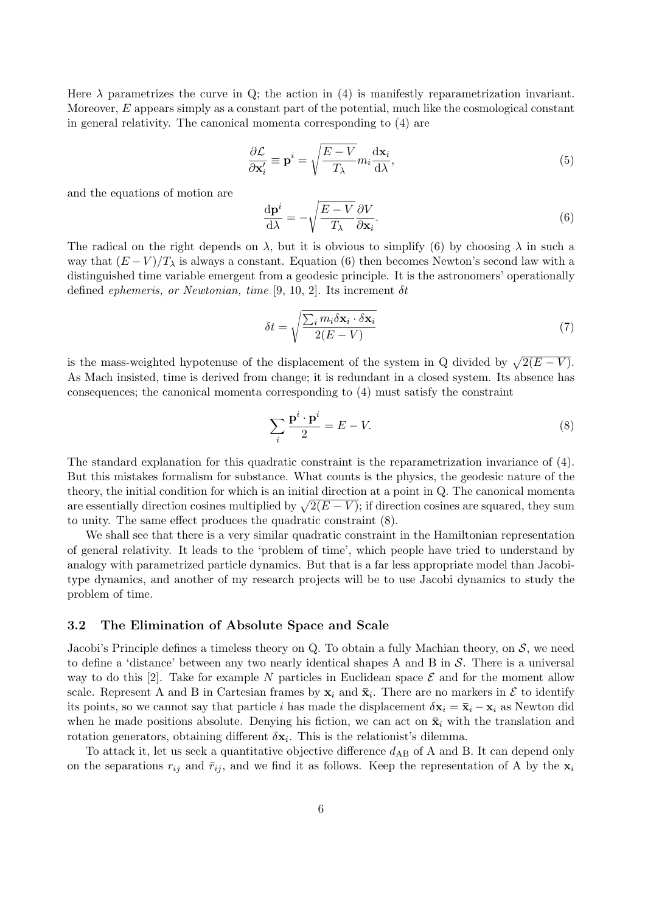Here  $\lambda$  parametrizes the curve in Q; the action in (4) is manifestly reparametrization invariant. Moreover,  $E$  appears simply as a constant part of the potential, much like the cosmological constant in general relativity. The canonical momenta corresponding to (4) are

$$
\frac{\partial \mathcal{L}}{\partial \mathbf{x}'_i} \equiv \mathbf{p}^i = \sqrt{\frac{E - V}{T_{\lambda}}} m_i \frac{\mathrm{d}\mathbf{x}_i}{\mathrm{d}\lambda},\tag{5}
$$

and the equations of motion are

$$
\frac{\mathrm{d}\mathbf{p}^i}{\mathrm{d}\lambda} = -\sqrt{\frac{E - V}{T_{\lambda}}}\frac{\partial V}{\partial \mathbf{x}_i}.\tag{6}
$$

The radical on the right depends on  $\lambda$ , but it is obvious to simplify (6) by choosing  $\lambda$  in such a way that  $(E - V)/T<sub>\lambda</sub>$  is always a constant. Equation (6) then becomes Newton's second law with a distinguished time variable emergent from a geodesic principle. It is the astronomers' operationally defined ephemeris, or Newtonian, time [9, 10, 2]. Its increment  $\delta t$ 

$$
\delta t = \sqrt{\frac{\sum_{i} m_{i} \delta \mathbf{x}_{i} \cdot \delta \mathbf{x}_{i}}{2(E - V)}}
$$
\n(7)

is the mass-weighted hypotenuse of the displacement of the system in Q divided by  $\sqrt{2(E-V)}$ . As Mach insisted, time is derived from change; it is redundant in a closed system. Its absence has consequences; the canonical momenta corresponding to (4) must satisfy the constraint

$$
\sum_{i} \frac{\mathbf{p}^i \cdot \mathbf{p}^i}{2} = E - V. \tag{8}
$$

The standard explanation for this quadratic constraint is the reparametrization invariance of (4). But this mistakes formalism for substance. What counts is the physics, the geodesic nature of the theory, the initial condition for which is an initial direction at a point in Q. The canonical momenta are essentially direction cosines multiplied by  $\sqrt{2(E - V)}$ ; if direction cosines are squared, they sum to unity. The same effect produces the quadratic constraint (8).

We shall see that there is a very similar quadratic constraint in the Hamiltonian representation of general relativity. It leads to the 'problem of time', which people have tried to understand by analogy with parametrized particle dynamics. But that is a far less appropriate model than Jacobitype dynamics, and another of my research projects will be to use Jacobi dynamics to study the problem of time.

## 3.2 The Elimination of Absolute Space and Scale

Jacobi's Principle defines a timeless theory on Q. To obtain a fully Machian theory, on  $S$ , we need to define a 'distance' between any two nearly identical shapes A and B in  $\mathcal{S}$ . There is a universal way to do this [2]. Take for example N particles in Euclidean space  $\mathcal E$  and for the moment allow scale. Represent A and B in Cartesian frames by  $x_i$  and  $\bar{x}_i$ . There are no markers in  $\mathcal E$  to identify its points, so we cannot say that particle i has made the displacement  $\delta x_i = \bar{x}_i - x_i$  as Newton did when he made positions absolute. Denying his fiction, we can act on  $\bar{\mathbf{x}}_i$  with the translation and rotation generators, obtaining different  $\delta \mathbf{x}_i$ . This is the relationist's dilemma.

To attack it, let us seek a quantitative objective difference  $d_{AB}$  of A and B. It can depend only on the separations  $r_{ij}$  and  $\bar{r}_{ij}$ , and we find it as follows. Keep the representation of A by the  $x_i$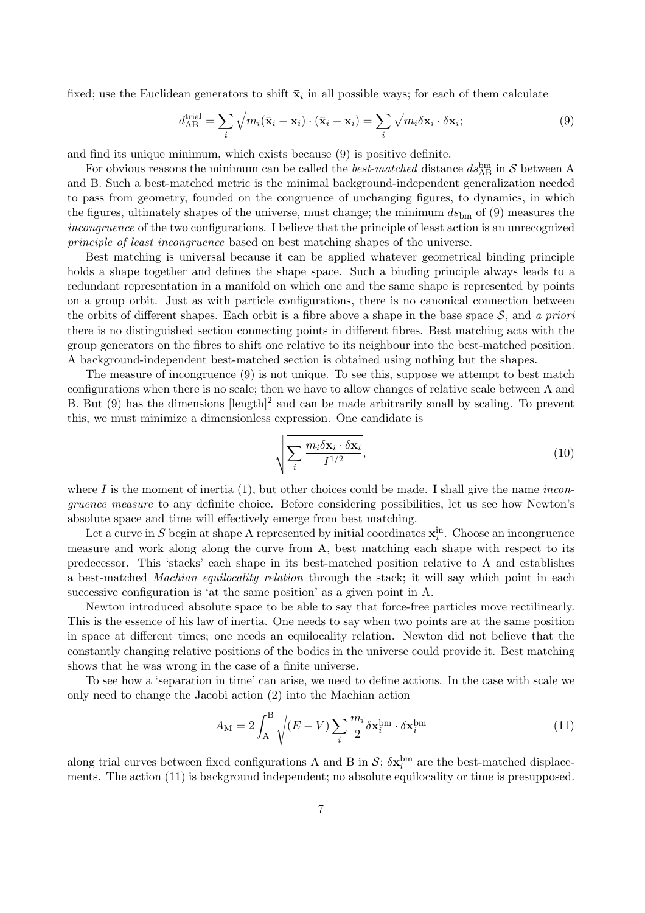fixed; use the Euclidean generators to shift  $\bar{\mathbf{x}}_i$  in all possible ways; for each of them calculate

$$
d_{AB}^{\text{trial}} = \sum_{i} \sqrt{m_i (\bar{\mathbf{x}}_i - \mathbf{x}_i) \cdot (\bar{\mathbf{x}}_i - \mathbf{x}_i)} = \sum_{i} \sqrt{m_i \delta \mathbf{x}_i \cdot \delta \mathbf{x}_i};
$$
\n(9)

and find its unique minimum, which exists because (9) is positive definite.

For obvious reasons the minimum can be called the *best-matched* distance  $ds_{AB}^{\text{bm}}$  in S between A and B. Such a best-matched metric is the minimal background-independent generalization needed to pass from geometry, founded on the congruence of unchanging figures, to dynamics, in which the figures, ultimately shapes of the universe, must change; the minimum  $ds_{\text{bm}}$  of (9) measures the incongruence of the two configurations. I believe that the principle of least action is an unrecognized principle of least incongruence based on best matching shapes of the universe.

Best matching is universal because it can be applied whatever geometrical binding principle holds a shape together and defines the shape space. Such a binding principle always leads to a redundant representation in a manifold on which one and the same shape is represented by points on a group orbit. Just as with particle configurations, there is no canonical connection between the orbits of different shapes. Each orbit is a fibre above a shape in the base space  $S$ , and a priori there is no distinguished section connecting points in different fibres. Best matching acts with the group generators on the fibres to shift one relative to its neighbour into the best-matched position. A background-independent best-matched section is obtained using nothing but the shapes.

The measure of incongruence (9) is not unique. To see this, suppose we attempt to best match configurations when there is no scale; then we have to allow changes of relative scale between A and B. But  $(9)$  has the dimensions [length]<sup>2</sup> and can be made arbitrarily small by scaling. To prevent this, we must minimize a dimensionless expression. One candidate is

$$
\sqrt{\sum_{i} \frac{m_i \delta \mathbf{x}_i \cdot \delta \mathbf{x}_i}{I^{1/2}}},\tag{10}
$$

where I is the moment of inertia  $(1)$ , but other choices could be made. I shall give the name *incon*gruence measure to any definite choice. Before considering possibilities, let us see how Newton's absolute space and time will effectively emerge from best matching.

Let a curve in S begin at shape A represented by initial coordinates  $\mathbf{x}_i^{\text{in}}$ . Choose an incongruence measure and work along along the curve from A, best matching each shape with respect to its predecessor. This 'stacks' each shape in its best-matched position relative to A and establishes a best-matched Machian equilocality relation through the stack; it will say which point in each successive configuration is 'at the same position' as a given point in A.

Newton introduced absolute space to be able to say that force-free particles move rectilinearly. This is the essence of his law of inertia. One needs to say when two points are at the same position in space at different times; one needs an equilocality relation. Newton did not believe that the constantly changing relative positions of the bodies in the universe could provide it. Best matching shows that he was wrong in the case of a finite universe.

To see how a 'separation in time' can arise, we need to define actions. In the case with scale we only need to change the Jacobi action (2) into the Machian action

$$
A_{\rm M} = 2 \int_{\rm A}^{\rm B} \sqrt{(E - V) \sum_{i} \frac{m_i}{2} \delta \mathbf{x}_i^{\rm bm} \cdot \delta \mathbf{x}_i^{\rm bm}} \tag{11}
$$

along trial curves between fixed configurations A and B in  $S$ ;  $\delta \mathbf{x}_i^{\text{bm}}$  are the best-matched displacements. The action (11) is background independent; no absolute equilocality or time is presupposed.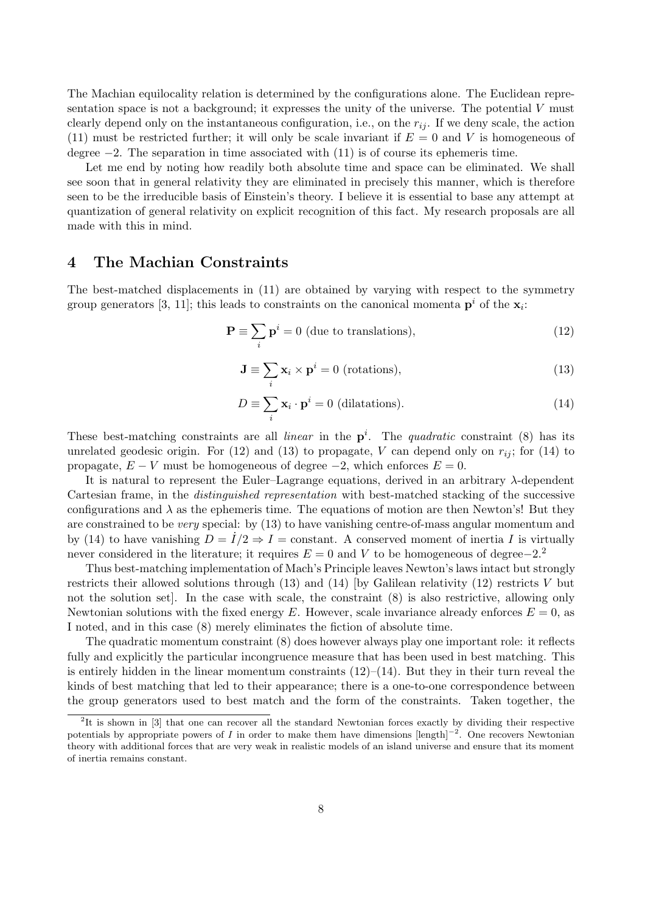The Machian equilocality relation is determined by the configurations alone. The Euclidean representation space is not a background; it expresses the unity of the universe. The potential V must clearly depend only on the instantaneous configuration, i.e., on the  $r_{ij}$ . If we deny scale, the action (11) must be restricted further; it will only be scale invariant if  $E = 0$  and V is homogeneous of degree  $-2$ . The separation in time associated with  $(11)$  is of course its ephemeris time.

Let me end by noting how readily both absolute time and space can be eliminated. We shall see soon that in general relativity they are eliminated in precisely this manner, which is therefore seen to be the irreducible basis of Einstein's theory. I believe it is essential to base any attempt at quantization of general relativity on explicit recognition of this fact. My research proposals are all made with this in mind.

## 4 The Machian Constraints

The best-matched displacements in (11) are obtained by varying with respect to the symmetry group generators [3, 11]; this leads to constraints on the canonical momenta  $\mathbf{p}^i$  of the  $\mathbf{x}_i$ :

$$
\mathbf{P} \equiv \sum_{i} \mathbf{p}^{i} = 0 \text{ (due to translations)},\tag{12}
$$

$$
\mathbf{J} \equiv \sum_{i} \mathbf{x}_{i} \times \mathbf{p}^{i} = 0 \text{ (rotations)},\tag{13}
$$

$$
D \equiv \sum_{i} \mathbf{x}_{i} \cdot \mathbf{p}^{i} = 0 \text{ (dilatations)}.
$$
 (14)

These best-matching constraints are all *linear* in the  $p^i$ . The quadratic constraint (8) has its unrelated geodesic origin. For (12) and (13) to propagate, V can depend only on  $r_{ij}$ ; for (14) to propagate,  $E - V$  must be homogeneous of degree  $-2$ , which enforces  $E = 0$ .

It is natural to represent the Euler–Lagrange equations, derived in an arbitrary  $\lambda$ -dependent Cartesian frame, in the distinguished representation with best-matched stacking of the successive configurations and  $\lambda$  as the ephemeris time. The equations of motion are then Newton's! But they are constrained to be very special: by (13) to have vanishing centre-of-mass angular momentum and by (14) to have vanishing  $D = I/2 \Rightarrow I = \text{constant}$ . A conserved moment of inertia I is virtually never considered in the literature; it requires  $E = 0$  and V to be homogeneous of degree–2.<sup>2</sup>

Thus best-matching implementation of Mach's Principle leaves Newton's laws intact but strongly restricts their allowed solutions through  $(13)$  and  $(14)$  [by Galilean relativity  $(12)$  restricts V but not the solution set]. In the case with scale, the constraint (8) is also restrictive, allowing only Newtonian solutions with the fixed energy E. However, scale invariance already enforces  $E = 0$ , as I noted, and in this case (8) merely eliminates the fiction of absolute time.

The quadratic momentum constraint (8) does however always play one important role: it reflects fully and explicitly the particular incongruence measure that has been used in best matching. This is entirely hidden in the linear momentum constraints  $(12)$ – $(14)$ . But they in their turn reveal the kinds of best matching that led to their appearance; there is a one-to-one correspondence between the group generators used to best match and the form of the constraints. Taken together, the

<sup>&</sup>lt;sup>2</sup>It is shown in [3] that one can recover all the standard Newtonian forces exactly by dividing their respective potentials by appropriate powers of I in order to make them have dimensions  $[\text{length}]^{-2}$ . One recovers Newtonian theory with additional forces that are very weak in realistic models of an island universe and ensure that its moment of inertia remains constant.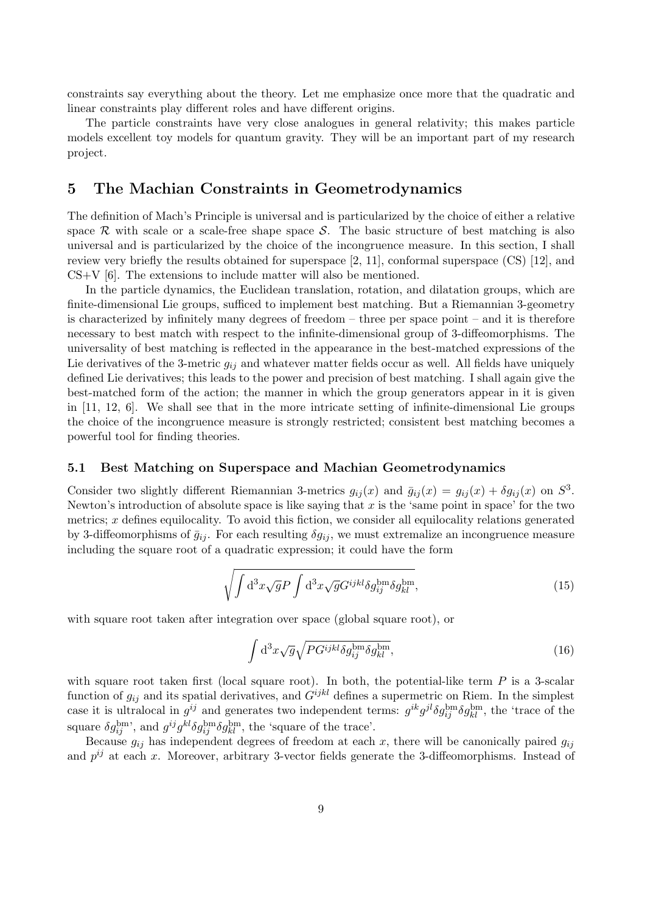constraints say everything about the theory. Let me emphasize once more that the quadratic and linear constraints play different roles and have different origins.

The particle constraints have very close analogues in general relativity; this makes particle models excellent toy models for quantum gravity. They will be an important part of my research project.

## 5 The Machian Constraints in Geometrodynamics

The definition of Mach's Principle is universal and is particularized by the choice of either a relative space R with scale or a scale-free shape space S. The basic structure of best matching is also universal and is particularized by the choice of the incongruence measure. In this section, I shall review very briefly the results obtained for superspace [2, 11], conformal superspace (CS) [12], and CS+V [6]. The extensions to include matter will also be mentioned.

In the particle dynamics, the Euclidean translation, rotation, and dilatation groups, which are finite-dimensional Lie groups, sufficed to implement best matching. But a Riemannian 3-geometry is characterized by infinitely many degrees of freedom – three per space point – and it is therefore necessary to best match with respect to the infinite-dimensional group of 3-diffeomorphisms. The universality of best matching is reflected in the appearance in the best-matched expressions of the Lie derivatives of the 3-metric  $g_{ij}$  and whatever matter fields occur as well. All fields have uniquely defined Lie derivatives; this leads to the power and precision of best matching. I shall again give the best-matched form of the action; the manner in which the group generators appear in it is given in [11, 12, 6]. We shall see that in the more intricate setting of infinite-dimensional Lie groups the choice of the incongruence measure is strongly restricted; consistent best matching becomes a powerful tool for finding theories.

## 5.1 Best Matching on Superspace and Machian Geometrodynamics

Consider two slightly different Riemannian 3-metrics  $g_{ij}(x)$  and  $\bar{g}_{ij}(x) = g_{ij}(x) + \delta g_{ij}(x)$  on  $S^3$ . Newton's introduction of absolute space is like saying that x is the 'same point in space' for the two metrics;  $x$  defines equilocality. To avoid this fiction, we consider all equilocality relations generated by 3-diffeomorphisms of  $\bar{g}_{ij}$ . For each resulting  $\delta g_{ij}$ , we must extremalize an incongruence measure including the square root of a quadratic expression; it could have the form

$$
\sqrt{\int d^3x \sqrt{g} P \int d^3x \sqrt{g} G^{ijkl} \delta g_{ij}^{\rm bm} \delta g_{kl}^{\rm bm}},\tag{15}
$$

with square root taken after integration over space (global square root), or

$$
\int d^3x \sqrt{g} \sqrt{PG^{ijkl}} \delta g_{ij}^{bm} \delta g_{kl}^{bm}, \tag{16}
$$

with square root taken first (local square root). In both, the potential-like term  $P$  is a 3-scalar function of  $g_{ij}$  and its spatial derivatives, and  $G^{ijkl}$  defines a supermetric on Riem. In the simplest case it is ultralocal in  $g^{ij}$  and generates two independent terms:  $g^{ik}g^{jl}\delta g_{kl}^{\text{bm}}\delta g_{kl}^{\text{bm}}$ , the 'trace of the square  $\delta g_{ij}^{\text{bm}}$ , and  $g^{ij}g^{kl}\delta g_{ij}^{\text{bm}}\delta g_{kl}^{\text{bm}}$ , the 'square of the trace'.

Because  $g_{ij}$  has independent degrees of freedom at each x, there will be canonically paired  $g_{ij}$ and  $p^{ij}$  at each x. Moreover, arbitrary 3-vector fields generate the 3-diffeomorphisms. Instead of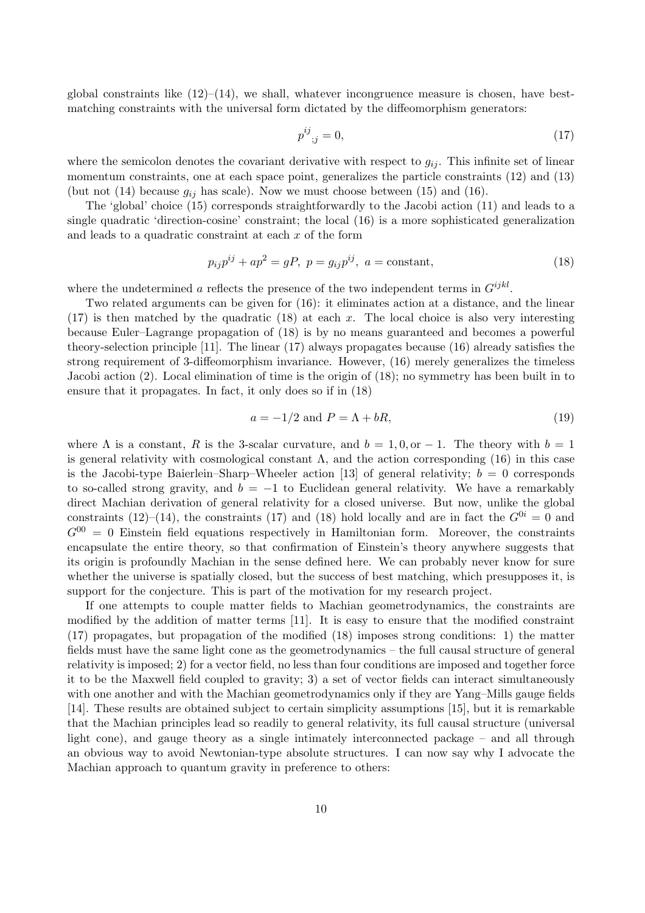global constraints like  $(12)$ – $(14)$ , we shall, whatever incongruence measure is chosen, have bestmatching constraints with the universal form dictated by the diffeomorphism generators:

$$
p^{ij}_{\;\;;j} = 0,\tag{17}
$$

where the semicolon denotes the covariant derivative with respect to  $g_{ij}$ . This infinite set of linear momentum constraints, one at each space point, generalizes the particle constraints (12) and (13) (but not (14) because  $g_{ij}$  has scale). Now we must choose between (15) and (16).

The 'global' choice (15) corresponds straightforwardly to the Jacobi action (11) and leads to a single quadratic 'direction-cosine' constraint; the local (16) is a more sophisticated generalization and leads to a quadratic constraint at each x of the form

$$
p_{ij}p^{ij} + ap^2 = gP, \ p = g_{ij}p^{ij}, \ a = \text{constant},
$$
\n(18)

where the undetermined a reflects the presence of the two independent terms in  $G^{ijkl}$ .

Two related arguments can be given for (16): it eliminates action at a distance, and the linear  $(17)$  is then matched by the quadratic  $(18)$  at each x. The local choice is also very interesting because Euler–Lagrange propagation of (18) is by no means guaranteed and becomes a powerful theory-selection principle [11]. The linear (17) always propagates because (16) already satisfies the strong requirement of 3-diffeomorphism invariance. However, (16) merely generalizes the timeless Jacobi action (2). Local elimination of time is the origin of (18); no symmetry has been built in to ensure that it propagates. In fact, it only does so if in (18)

$$
a = -1/2 \text{ and } P = \Lambda + bR,\tag{19}
$$

where  $\Lambda$  is a constant, R is the 3-scalar curvature, and  $b = 1, 0,$  or  $-1$ . The theory with  $b = 1$ is general relativity with cosmological constant  $\Lambda$ , and the action corresponding (16) in this case is the Jacobi-type Baierlein–Sharp–Wheeler action [13] of general relativity;  $b = 0$  corresponds to so-called strong gravity, and  $b = -1$  to Euclidean general relativity. We have a remarkably direct Machian derivation of general relativity for a closed universe. But now, unlike the global constraints (12)–(14), the constraints (17) and (18) hold locally and are in fact the  $G^{0i} = 0$  and  $G^{00} = 0$  Einstein field equations respectively in Hamiltonian form. Moreover, the constraints encapsulate the entire theory, so that confirmation of Einstein's theory anywhere suggests that its origin is profoundly Machian in the sense defined here. We can probably never know for sure whether the universe is spatially closed, but the success of best matching, which presupposes it, is support for the conjecture. This is part of the motivation for my research project.

If one attempts to couple matter fields to Machian geometrodynamics, the constraints are modified by the addition of matter terms [11]. It is easy to ensure that the modified constraint (17) propagates, but propagation of the modified (18) imposes strong conditions: 1) the matter fields must have the same light cone as the geometrodynamics – the full causal structure of general relativity is imposed; 2) for a vector field, no less than four conditions are imposed and together force it to be the Maxwell field coupled to gravity; 3) a set of vector fields can interact simultaneously with one another and with the Machian geometrodynamics only if they are Yang–Mills gauge fields [14]. These results are obtained subject to certain simplicity assumptions [15], but it is remarkable that the Machian principles lead so readily to general relativity, its full causal structure (universal light cone), and gauge theory as a single intimately interconnected package – and all through an obvious way to avoid Newtonian-type absolute structures. I can now say why I advocate the Machian approach to quantum gravity in preference to others: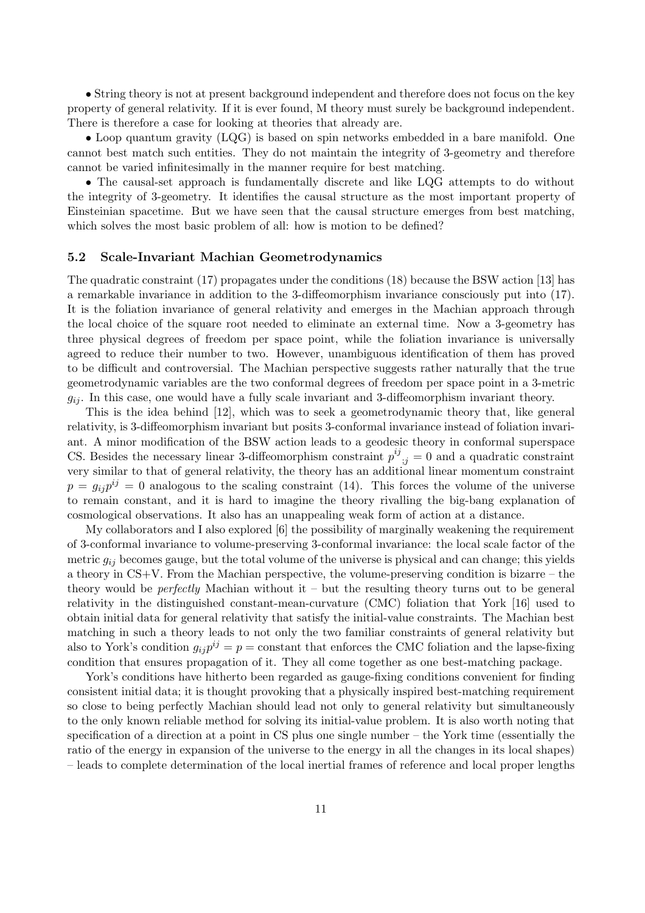• String theory is not at present background independent and therefore does not focus on the key property of general relativity. If it is ever found, M theory must surely be background independent. There is therefore a case for looking at theories that already are.

• Loop quantum gravity (LQG) is based on spin networks embedded in a bare manifold. One cannot best match such entities. They do not maintain the integrity of 3-geometry and therefore cannot be varied infinitesimally in the manner require for best matching.

• The causal-set approach is fundamentally discrete and like LQG attempts to do without the integrity of 3-geometry. It identifies the causal structure as the most important property of Einsteinian spacetime. But we have seen that the causal structure emerges from best matching, which solves the most basic problem of all: how is motion to be defined?

#### 5.2 Scale-Invariant Machian Geometrodynamics

The quadratic constraint (17) propagates under the conditions (18) because the BSW action [13] has a remarkable invariance in addition to the 3-diffeomorphism invariance consciously put into (17). It is the foliation invariance of general relativity and emerges in the Machian approach through the local choice of the square root needed to eliminate an external time. Now a 3-geometry has three physical degrees of freedom per space point, while the foliation invariance is universally agreed to reduce their number to two. However, unambiguous identification of them has proved to be difficult and controversial. The Machian perspective suggests rather naturally that the true geometrodynamic variables are the two conformal degrees of freedom per space point in a 3-metric  $g_{ij}$ . In this case, one would have a fully scale invariant and 3-diffeomorphism invariant theory.

This is the idea behind [12], which was to seek a geometrodynamic theory that, like general relativity, is 3-diffeomorphism invariant but posits 3-conformal invariance instead of foliation invariant. A minor modification of the BSW action leads to a geodesic theory in conformal superspace CS. Besides the necessary linear 3-diffeomorphism constraint  $p^{ij}_{;j} = 0$  and a quadratic constraint very similar to that of general relativity, the theory has an additional linear momentum constraint  $p = g_{ij}p^{ij} = 0$  analogous to the scaling constraint (14). This forces the volume of the universe to remain constant, and it is hard to imagine the theory rivalling the big-bang explanation of cosmological observations. It also has an unappealing weak form of action at a distance.

My collaborators and I also explored [6] the possibility of marginally weakening the requirement of 3-conformal invariance to volume-preserving 3-conformal invariance: the local scale factor of the metric  $g_{ij}$  becomes gauge, but the total volume of the universe is physical and can change; this yields a theory in CS+V. From the Machian perspective, the volume-preserving condition is bizarre – the theory would be *perfectly* Machian without it – but the resulting theory turns out to be general relativity in the distinguished constant-mean-curvature (CMC) foliation that York [16] used to obtain initial data for general relativity that satisfy the initial-value constraints. The Machian best matching in such a theory leads to not only the two familiar constraints of general relativity but also to York's condition  $g_{ij}p^{ij} = p = \text{constant}$  that enforces the CMC foliation and the lapse-fixing condition that ensures propagation of it. They all come together as one best-matching package.

York's conditions have hitherto been regarded as gauge-fixing conditions convenient for finding consistent initial data; it is thought provoking that a physically inspired best-matching requirement so close to being perfectly Machian should lead not only to general relativity but simultaneously to the only known reliable method for solving its initial-value problem. It is also worth noting that specification of a direction at a point in CS plus one single number – the York time (essentially the ratio of the energy in expansion of the universe to the energy in all the changes in its local shapes) – leads to complete determination of the local inertial frames of reference and local proper lengths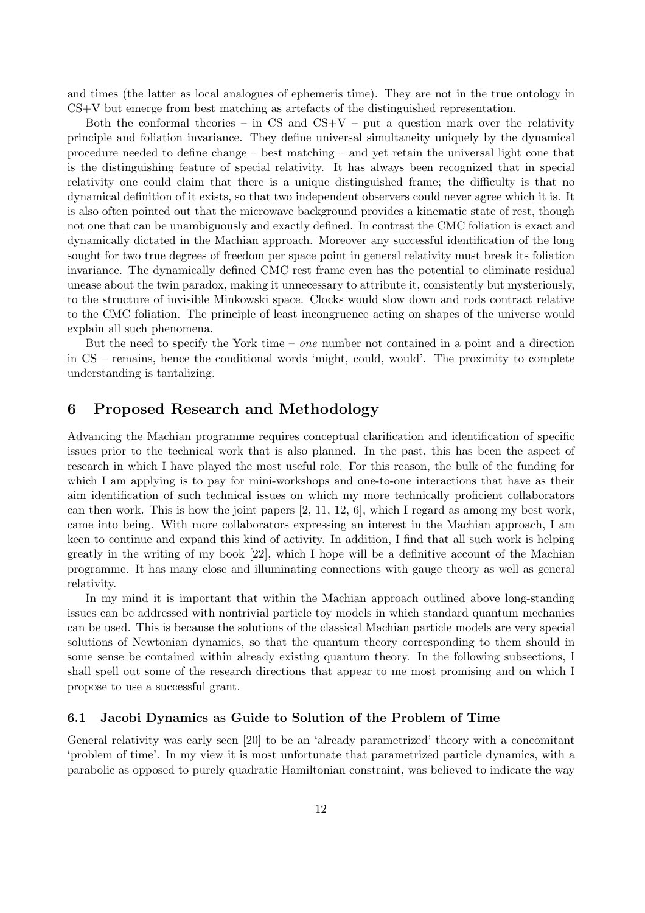and times (the latter as local analogues of ephemeris time). They are not in the true ontology in CS+V but emerge from best matching as artefacts of the distinguished representation.

Both the conformal theories – in CS and  $CS+V$  – put a question mark over the relativity principle and foliation invariance. They define universal simultaneity uniquely by the dynamical procedure needed to define change – best matching – and yet retain the universal light cone that is the distinguishing feature of special relativity. It has always been recognized that in special relativity one could claim that there is a unique distinguished frame; the difficulty is that no dynamical definition of it exists, so that two independent observers could never agree which it is. It is also often pointed out that the microwave background provides a kinematic state of rest, though not one that can be unambiguously and exactly defined. In contrast the CMC foliation is exact and dynamically dictated in the Machian approach. Moreover any successful identification of the long sought for two true degrees of freedom per space point in general relativity must break its foliation invariance. The dynamically defined CMC rest frame even has the potential to eliminate residual unease about the twin paradox, making it unnecessary to attribute it, consistently but mysteriously, to the structure of invisible Minkowski space. Clocks would slow down and rods contract relative to the CMC foliation. The principle of least incongruence acting on shapes of the universe would explain all such phenomena.

But the need to specify the York time – *one* number not contained in a point and a direction in CS – remains, hence the conditional words 'might, could, would'. The proximity to complete understanding is tantalizing.

## 6 Proposed Research and Methodology

Advancing the Machian programme requires conceptual clarification and identification of specific issues prior to the technical work that is also planned. In the past, this has been the aspect of research in which I have played the most useful role. For this reason, the bulk of the funding for which I am applying is to pay for mini-workshops and one-to-one interactions that have as their aim identification of such technical issues on which my more technically proficient collaborators can then work. This is how the joint papers  $[2, 11, 12, 6]$ , which I regard as among my best work, came into being. With more collaborators expressing an interest in the Machian approach, I am keen to continue and expand this kind of activity. In addition, I find that all such work is helping greatly in the writing of my book [22], which I hope will be a definitive account of the Machian programme. It has many close and illuminating connections with gauge theory as well as general relativity.

In my mind it is important that within the Machian approach outlined above long-standing issues can be addressed with nontrivial particle toy models in which standard quantum mechanics can be used. This is because the solutions of the classical Machian particle models are very special solutions of Newtonian dynamics, so that the quantum theory corresponding to them should in some sense be contained within already existing quantum theory. In the following subsections, I shall spell out some of the research directions that appear to me most promising and on which I propose to use a successful grant.

## 6.1 Jacobi Dynamics as Guide to Solution of the Problem of Time

General relativity was early seen [20] to be an 'already parametrized' theory with a concomitant 'problem of time'. In my view it is most unfortunate that parametrized particle dynamics, with a parabolic as opposed to purely quadratic Hamiltonian constraint, was believed to indicate the way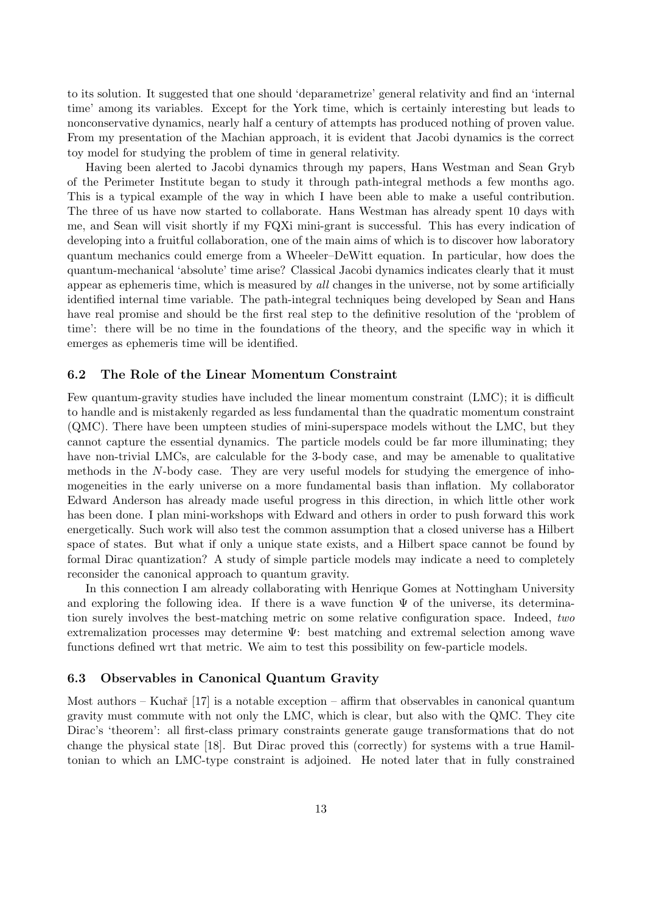to its solution. It suggested that one should 'deparametrize' general relativity and find an 'internal time' among its variables. Except for the York time, which is certainly interesting but leads to nonconservative dynamics, nearly half a century of attempts has produced nothing of proven value. From my presentation of the Machian approach, it is evident that Jacobi dynamics is the correct toy model for studying the problem of time in general relativity.

Having been alerted to Jacobi dynamics through my papers, Hans Westman and Sean Gryb of the Perimeter Institute began to study it through path-integral methods a few months ago. This is a typical example of the way in which I have been able to make a useful contribution. The three of us have now started to collaborate. Hans Westman has already spent 10 days with me, and Sean will visit shortly if my FQXi mini-grant is successful. This has every indication of developing into a fruitful collaboration, one of the main aims of which is to discover how laboratory quantum mechanics could emerge from a Wheeler–DeWitt equation. In particular, how does the quantum-mechanical 'absolute' time arise? Classical Jacobi dynamics indicates clearly that it must appear as ephemeris time, which is measured by all changes in the universe, not by some artificially identified internal time variable. The path-integral techniques being developed by Sean and Hans have real promise and should be the first real step to the definitive resolution of the 'problem of time': there will be no time in the foundations of the theory, and the specific way in which it emerges as ephemeris time will be identified.

## 6.2 The Role of the Linear Momentum Constraint

Few quantum-gravity studies have included the linear momentum constraint (LMC); it is difficult to handle and is mistakenly regarded as less fundamental than the quadratic momentum constraint (QMC). There have been umpteen studies of mini-superspace models without the LMC, but they cannot capture the essential dynamics. The particle models could be far more illuminating; they have non-trivial LMCs, are calculable for the 3-body case, and may be amenable to qualitative methods in the N-body case. They are very useful models for studying the emergence of inhomogeneities in the early universe on a more fundamental basis than inflation. My collaborator Edward Anderson has already made useful progress in this direction, in which little other work has been done. I plan mini-workshops with Edward and others in order to push forward this work energetically. Such work will also test the common assumption that a closed universe has a Hilbert space of states. But what if only a unique state exists, and a Hilbert space cannot be found by formal Dirac quantization? A study of simple particle models may indicate a need to completely reconsider the canonical approach to quantum gravity.

In this connection I am already collaborating with Henrique Gomes at Nottingham University and exploring the following idea. If there is a wave function  $\Psi$  of the universe, its determination surely involves the best-matching metric on some relative configuration space. Indeed, two extremalization processes may determine Ψ: best matching and extremal selection among wave functions defined wrt that metric. We aim to test this possibility on few-particle models.

### 6.3 Observables in Canonical Quantum Gravity

Most authors – Kuchař  $[17]$  is a notable exception – affirm that observables in canonical quantum gravity must commute with not only the LMC, which is clear, but also with the QMC. They cite Dirac's 'theorem': all first-class primary constraints generate gauge transformations that do not change the physical state [18]. But Dirac proved this (correctly) for systems with a true Hamiltonian to which an LMC-type constraint is adjoined. He noted later that in fully constrained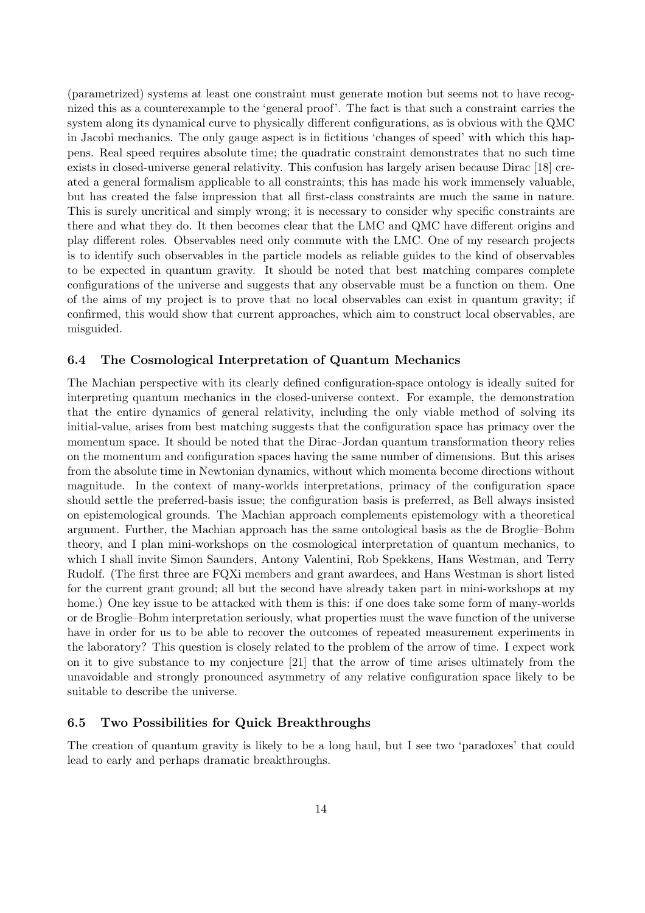(parametrized) systems at least one constraint must generate motion but seems not to have recognized this as a counterexample to the 'general proof'. The fact is that such a constraint carries the system along its dynamical curve to physically different configurations, as is obvious with the QMC in Jacobi mechanics. The only gauge aspect is in fictitious 'changes of speed' with which this happens. Real speed requires absolute time; the quadratic constraint demonstrates that no such time exists in closed-universe general relativity. This confusion has largely arisen because Dirac [18] created a general formalism applicable to all constraints; this has made his work immensely valuable, but has created the false impression that all first-class constraints are much the same in nature. This is surely uncritical and simply wrong; it is necessary to consider why specific constraints are there and what they do. It then becomes clear that the LMC and QMC have different origins and play different roles. Observables need only commute with the LMC. One of my research projects is to identify such observables in the particle models as reliable guides to the kind of observables to be expected in quantum gravity. It should be noted that best matching compares complete configurations of the universe and suggests that any observable must be a function on them. One of the aims of my project is to prove that no local observables can exist in quantum gravity; if confirmed, this would show that current approaches, which aim to construct local observables, are misguided.

## 6.4 The Cosmological Interpretation of Quantum Mechanics

The Machian perspective with its clearly defined configuration-space ontology is ideally suited for interpreting quantum mechanics in the closed-universe context. For example, the demonstration that the entire dynamics of general relativity, including the only viable method of solving its initial-value, arises from best matching suggests that the configuration space has primacy over the momentum space. It should be noted that the Dirac–Jordan quantum transformation theory relies on the momentum and configuration spaces having the same number of dimensions. But this arises from the absolute time in Newtonian dynamics, without which momenta become directions without magnitude. In the context of many-worlds interpretations, primacy of the configuration space should settle the preferred-basis issue; the configuration basis is preferred, as Bell always insisted on epistemological grounds. The Machian approach complements epistemology with a theoretical argument. Further, the Machian approach has the same ontological basis as the de Broglie–Bohm theory, and I plan mini-workshops on the cosmological interpretation of quantum mechanics, to which I shall invite Simon Saunders, Antony Valentini, Rob Spekkens, Hans Westman, and Terry Rudolf. (The first three are FQXi members and grant awardees, and Hans Westman is short listed for the current grant ground; all but the second have already taken part in mini-workshops at my home.) One key issue to be attacked with them is this: if one does take some form of many-worlds or de Broglie–Bohm interpretation seriously, what properties must the wave function of the universe have in order for us to be able to recover the outcomes of repeated measurement experiments in the laboratory? This question is closely related to the problem of the arrow of time. I expect work on it to give substance to my conjecture [21] that the arrow of time arises ultimately from the unavoidable and strongly pronounced asymmetry of any relative configuration space likely to be suitable to describe the universe.

## 6.5 Two Possibilities for Quick Breakthroughs

The creation of quantum gravity is likely to be a long haul, but I see two 'paradoxes' that could lead to early and perhaps dramatic breakthroughs.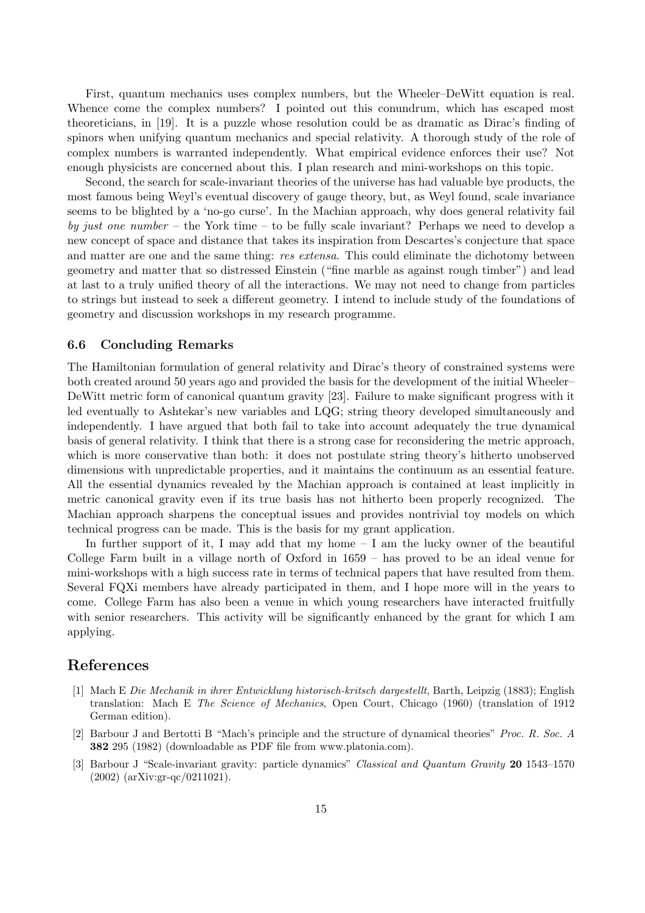First, quantum mechanics uses complex numbers, but the Wheeler–DeWitt equation is real. Whence come the complex numbers? I pointed out this conundrum, which has escaped most theoreticians, in [19]. It is a puzzle whose resolution could be as dramatic as Dirac's finding of spinors when unifying quantum mechanics and special relativity. A thorough study of the role of complex numbers is warranted independently. What empirical evidence enforces their use? Not enough physicists are concerned about this. I plan research and mini-workshops on this topic.

Second, the search for scale-invariant theories of the universe has had valuable bye products, the most famous being Weyl's eventual discovery of gauge theory, but, as Weyl found, scale invariance seems to be blighted by a 'no-go curse'. In the Machian approach, why does general relativity fail by just one number – the York time – to be fully scale invariant? Perhaps we need to develop a new concept of space and distance that takes its inspiration from Descartes's conjecture that space and matter are one and the same thing: res extensa. This could eliminate the dichotomy between geometry and matter that so distressed Einstein ("fine marble as against rough timber") and lead at last to a truly unified theory of all the interactions. We may not need to change from particles to strings but instead to seek a different geometry. I intend to include study of the foundations of geometry and discussion workshops in my research programme.

### 6.6 Concluding Remarks

The Hamiltonian formulation of general relativity and Dirac's theory of constrained systems were both created around 50 years ago and provided the basis for the development of the initial Wheeler– DeWitt metric form of canonical quantum gravity [23]. Failure to make significant progress with it led eventually to Ashtekar's new variables and LQG; string theory developed simultaneously and independently. I have argued that both fail to take into account adequately the true dynamical basis of general relativity. I think that there is a strong case for reconsidering the metric approach, which is more conservative than both: it does not postulate string theory's hitherto unobserved dimensions with unpredictable properties, and it maintains the continuum as an essential feature. All the essential dynamics revealed by the Machian approach is contained at least implicitly in metric canonical gravity even if its true basis has not hitherto been properly recognized. The Machian approach sharpens the conceptual issues and provides nontrivial toy models on which technical progress can be made. This is the basis for my grant application.

In further support of it, I may add that my home  $- I$  am the lucky owner of the beautiful College Farm built in a village north of Oxford in 1659 – has proved to be an ideal venue for mini-workshops with a high success rate in terms of technical papers that have resulted from them. Several FQXi members have already participated in them, and I hope more will in the years to come. College Farm has also been a venue in which young researchers have interacted fruitfully with senior researchers. This activity will be significantly enhanced by the grant for which I am applying.

## References

- [1] Mach E Die Mechanik in ihrer Entwicklung historisch-kritsch dargestellt, Barth, Leipzig (1883); English translation: Mach E The Science of Mechanics, Open Court, Chicago (1960) (translation of 1912 German edition).
- [2] Barbour J and Bertotti B "Mach's principle and the structure of dynamical theories" Proc. R. Soc. A 382 295 (1982) (downloadable as PDF file from www.platonia.com).
- [3] Barbour J "Scale-invariant gravity: particle dynamics" Classical and Quantum Gravity 20 1543–1570 (2002) (arXiv:gr-qc/0211021).